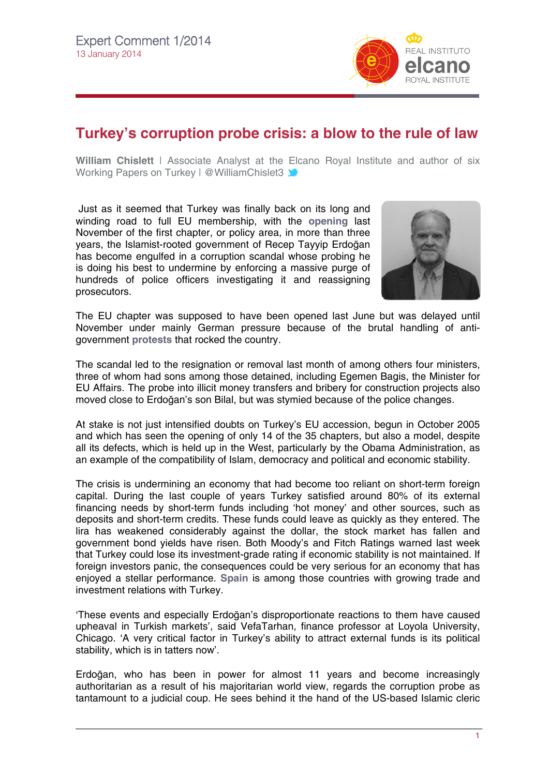

## **Turkey's corruption probe crisis: a blow to the rule of law**

**William Chislett** | Associate Analyst at the [Elc](http://twitter.com/rielcano)ano Royal Institute and author of six Working Papers on Turkey | @WilliamChislet3

Just as it seemed that Turkey was finally back on its long and winding road to full EU membership, with the **[opening](http://www.realinstitutoelcano.org/wps/portal/web/rielcano_en/contenido?WCM_GLOBAL_CONTEXT=/elcano/Elcano_in/Zonas_in/ARI45-2013-Chislett-Turkey-European-Union-mixed-signals)** last November of the first chapter, or policy area, in more than three years, the Islamist-rooted government of Recep Tayyip Erdoğan has become engulfed in a corruption scandal whose probing he is doing his best to undermine by enforcing a massive purge of hundreds of police officers investigating it and reassigning prosecutors.



The EU chapter was supposed to have been opened last June but was delayed until November under mainly German pressure because of the brutal handling of antigovernment **[protests](http://www.realinstitutoelcano.org/wps/portal/web/rielcano_en/contenido?WCM_GLOBAL_CONTEXT=/elcano/Elcano_in/Zonas_in/Commentary-Chislett-Indignants-Turkey)** that rocked the country.

The scandal led to the resignation or removal last month of among others four ministers, three of whom had sons among those detained, including Egemen Bagis, the Minister for EU Affairs. The probe into illicit money transfers and bribery for construction projects also moved close to Erdoğan's son Bilal, but was stymied because of the police changes.

At stake is not just intensified doubts on Turkey's EU accession, begun in October 2005 and which has seen the opening of only 14 of the 35 chapters, but also a model, despite all its defects, which is held up in the West, particularly by the Obama Administration, as an example of the compatibility of Islam, democracy and political and economic stability.

The crisis is undermining an economy that had become too reliant on short-term foreign capital. During the last couple of years Turkey satisfied around 80% of its external financing needs by short-term funds including 'hot money' and other sources, such as deposits and short-term credits. These funds could leave as quickly as they entered. The lira has weakened considerably against the dollar, the stock market has fallen and government bond yields have risen. Both Moody's and Fitch Ratings warned last week that Turkey could lose its investment-grade rating if economic stability is not maintained. If foreign investors panic, the consequences could be very serious for an economy that has enjoyed a stellar performance. **[Spain](http://www.realinstitutoelcano.org/wps/portal/web/rielcano_en/contenido?WCM_GLOBAL_CONTEXT=/elcano/Elcano_in/Zonas_in/ARI2-2013_Chislett_Turkey_Spain_trade_investment)** is among those countries with growing trade and investment relations with Turkey.

'These events and especially Erdoğan's disproportionate reactions to them have caused upheaval in Turkish markets', said VefaTarhan, finance professor at Loyola University, Chicago. 'A very critical factor in Turkey's ability to attract external funds is its political stability, which is in tatters now'.

Erdoğan, who has been in power for almost 11 years and become increasingly authoritarian as a result of his majoritarian world view, regards the corruption probe as tantamount to a judicial coup. He sees behind it the hand of the US-based Islamic cleric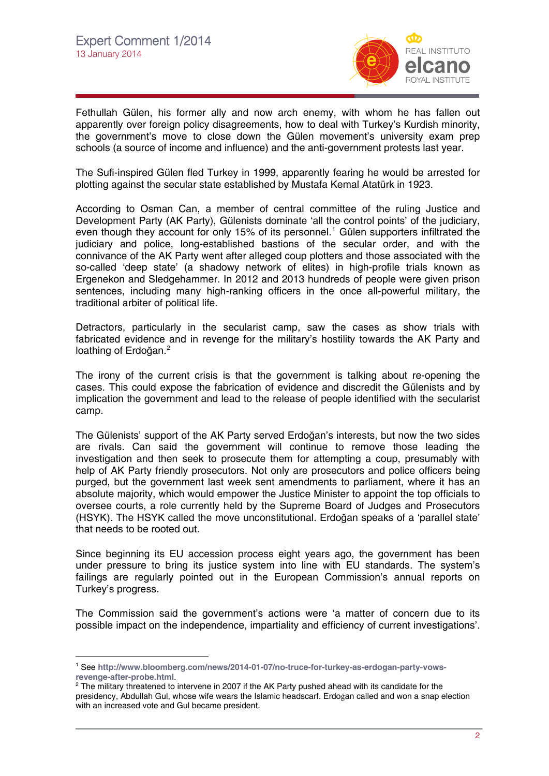

Fethullah Gülen, his former ally and now arch enemy, with whom he has fallen out apparently over foreign policy disagreements, how to deal with Turkey's Kurdish minority, the government's move to close down the Gülen movement's university exam prep schools (a source of income and influence) and the anti-government protests last year.

The Sufi-inspired Gülen fled Turkey in 1999, apparently fearing he would be arrested for plotting against the secular state established by Mustafa Kemal Atatürk in 1923.

According to Osman Can, a member of central committee of the ruling Justice and Development Party (AK Party), Gülenists dominate 'all the control points' of the judiciary, even though they account for only [1](#page-1-0)5% of its personnel.<sup>1</sup> Gülen supporters infiltrated the judiciary and police, long-established bastions of the secular order, and with the connivance of the AK Party went after alleged coup plotters and those associated with the so-called 'deep state' (a shadowy network of elites) in high-profile trials known as Ergenekon and Sledgehammer. In 2012 and 2013 hundreds of people were given prison sentences, including many high-ranking officers in the once all-powerful military, the traditional arbiter of political life.

Detractors, particularly in the secularist camp, saw the cases as show trials with fabricated evidence and in revenge for the military's hostility towards the AK Party and loathing of Erdoğan.<sup>[2](#page-1-1)</sup>

The irony of the current crisis is that the government is talking about re-opening the cases. This could expose the fabrication of evidence and discredit the Gülenists and by implication the government and lead to the release of people identified with the secularist camp.

The Gülenists' support of the AK Party served Erdoğan's interests, but now the two sides are rivals. Can said the government will continue to remove those leading the investigation and then seek to prosecute them for attempting a coup, presumably with help of AK Party friendly prosecutors. Not only are prosecutors and police officers being purged, but the government last week sent amendments to parliament, where it has an absolute majority, which would empower the Justice Minister to appoint the top officials to oversee courts, a role currently held by the Supreme Board of Judges and Prosecutors (HSYK). The HSYK called the move unconstitutional. Erdoğan speaks of a 'parallel state' that needs to be rooted out.

Since beginning its EU accession process eight years ago, the government has been under pressure to bring its justice system into line with EU standards. The system's failings are regularly pointed out in the European Commission's annual reports on Turkey's progress.

The Commission said the government's actions were 'a matter of concern due to its possible impact on the independence, impartiality and efficiency of current investigations'.

 $\overline{a}$ 

<span id="page-1-0"></span><sup>1</sup> See **[http://www.bloomberg.com/news/2014-01-07/no-truce-for-turkey-as-erdogan-party-vows](http://www.bloomberg.com/news/2014-01-07/no-truce-for-turkey-as-erdogan-party-vows-revenge-after-probe.html)revenge-after-probe.html**[.](http://www.bloomberg.com/news/2014-01-07/no-truce-for-turkey-as-erdogan-party-vows-revenge-after-probe.html) 2

<span id="page-1-1"></span><sup>&</sup>lt;sup>2</sup> The military threatened to intervene in 2007 if the AK Party pushed ahead with its candidate for the presidency, Abdullah Gul, whose wife wears the Islamic headscarf. Erdoğan called and won a snap election with an increased vote and Gul became president.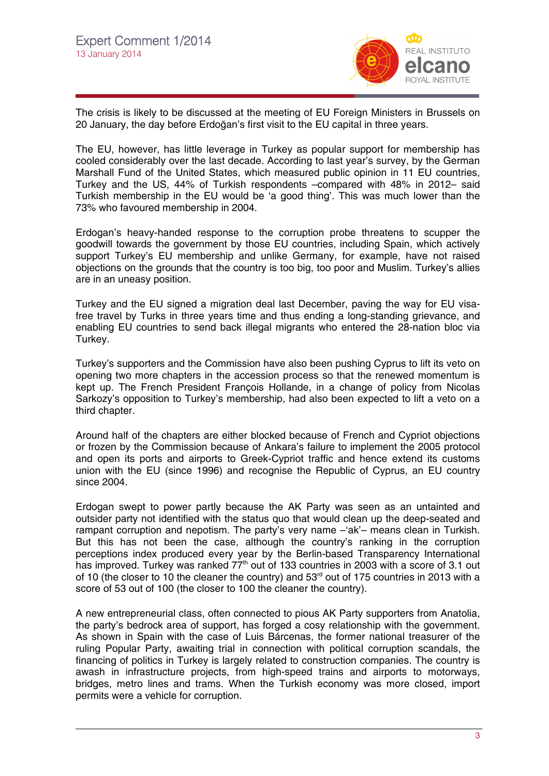

The crisis is likely to be discussed at the meeting of EU Foreign Ministers in Brussels on 20 January, the day before Erdoğan's first visit to the EU capital in three years.

The EU, however, has little leverage in Turkey as popular support for membership has cooled considerably over the last decade. According to last year's survey, by the German Marshall Fund of the United States, which measured public opinion in 11 EU countries, Turkey and the US, 44% of Turkish respondents –compared with 48% in 2012– said Turkish membership in the EU would be 'a good thing'. This was much lower than the 73% who favoured membership in 2004.

Erdogan's heavy-handed response to the corruption probe threatens to scupper the goodwill towards the government by those EU countries, including Spain, which actively support Turkey's EU membership and unlike Germany, for example, have not raised objections on the grounds that the country is too big, too poor and Muslim. Turkey's allies are in an uneasy position.

Turkey and the EU signed a migration deal last December, paving the way for EU visafree travel by Turks in three years time and thus ending a long-standing grievance, and enabling EU countries to send back illegal migrants who entered the 28-nation bloc via Turkey.

Turkey's supporters and the Commission have also been pushing Cyprus to lift its veto on opening two more chapters in the accession process so that the renewed momentum is kept up. The French President François Hollande, in a change of policy from Nicolas Sarkozy's opposition to Turkey's membership, had also been expected to lift a veto on a third chapter.

Around half of the chapters are either blocked because of French and Cypriot objections or frozen by the Commission because of Ankara's failure to implement the 2005 protocol and open its ports and airports to Greek-Cypriot traffic and hence extend its customs union with the EU (since 1996) and recognise the Republic of Cyprus, an EU country since 2004.

Erdogan swept to power partly because the AK Party was seen as an untainted and outsider party not identified with the status quo that would clean up the deep-seated and rampant corruption and nepotism. The party's very name –'ak'– means clean in Turkish. But this has not been the case, although the country's ranking in the corruption perceptions index produced every year by the Berlin-based Transparency International has improved. Turkey was ranked  $77<sup>th</sup>$  out of 133 countries in 2003 with a score of 3.1 out of 10 (the closer to 10 the cleaner the country) and  $53<sup>rd</sup>$  out of 175 countries in 2013 with a score of 53 out of 100 (the closer to 100 the cleaner the country).

A new entrepreneurial class, often connected to pious AK Party supporters from Anatolia, the party's bedrock area of support, has forged a cosy relationship with the government. As shown in Spain with the case of Luis Bárcenas, the former national treasurer of the ruling Popular Party, awaiting trial in connection with political corruption scandals, the financing of politics in Turkey is largely related to construction companies. The country is awash in infrastructure projects, from high-speed trains and airports to motorways, bridges, metro lines and trams. When the Turkish economy was more closed, import permits were a vehicle for corruption.